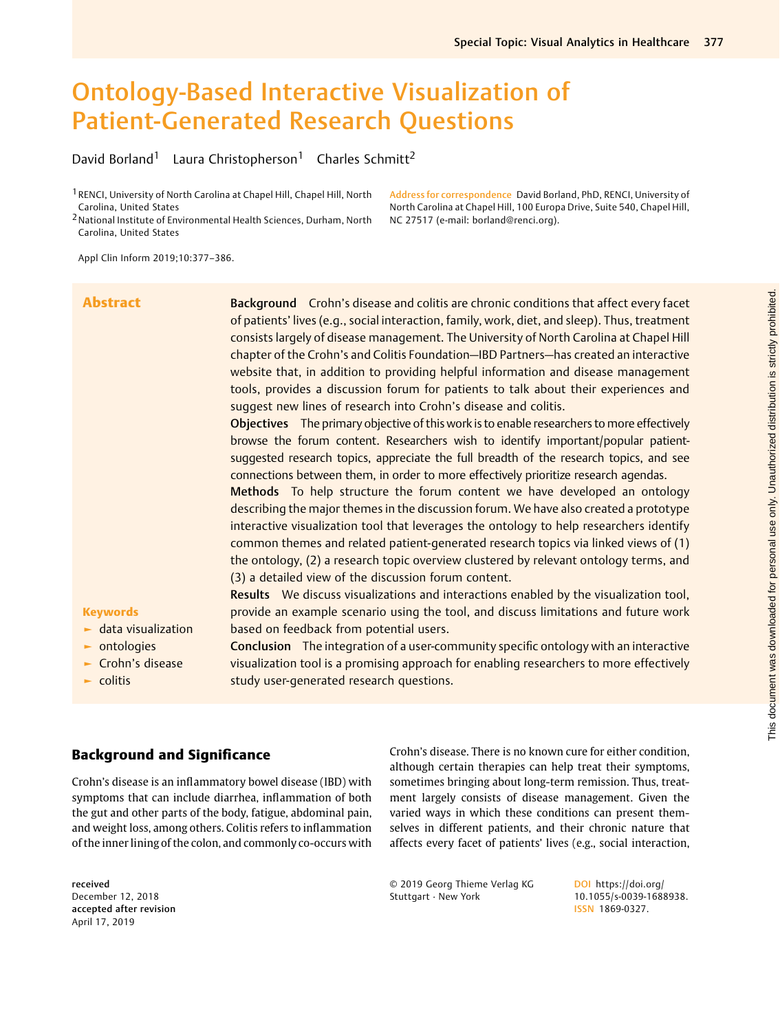Address for correspondence David Borland, PhD, RENCI, University of North Carolina at Chapel Hill, 100 Europa Drive, Suite 540, Chapel Hill,

NC 27517 (e-mail: [borland@renci.org\)](mailto:borland@renci.org).

# Ontology-Based Interactive Visualization of Patient-Generated Research Questions

David Borland<sup>1</sup> Laura Christopherson<sup>1</sup> Charles Schmitt<sup>2</sup>

1RENCI, University of North Carolina at Chapel Hill, Chapel Hill, North Carolina, United States

2National Institute of Environmental Health Sciences, Durham, North Carolina, United States

Appl Clin Inform 2019;10:377–386.

| <b>Abstract</b>                          | Background Crohn's disease and colitis are chronic conditions that affect every facet<br>of patients' lives (e.g., social interaction, family, work, diet, and sleep). Thus, treatment |  |  |  |
|------------------------------------------|----------------------------------------------------------------------------------------------------------------------------------------------------------------------------------------|--|--|--|
|                                          | consists largely of disease management. The University of North Carolina at Chapel Hill                                                                                                |  |  |  |
|                                          | chapter of the Crohn's and Colitis Foundation-IBD Partners-has created an interactive                                                                                                  |  |  |  |
|                                          | website that, in addition to providing helpful information and disease management                                                                                                      |  |  |  |
|                                          | tools, provides a discussion forum for patients to talk about their experiences and                                                                                                    |  |  |  |
|                                          | suggest new lines of research into Crohn's disease and colitis.                                                                                                                        |  |  |  |
|                                          | Objectives The primary objective of this work is to enable researchers to more effectively                                                                                             |  |  |  |
|                                          | browse the forum content. Researchers wish to identify important/popular patient-                                                                                                      |  |  |  |
|                                          | suggested research topics, appreciate the full breadth of the research topics, and see                                                                                                 |  |  |  |
|                                          | connections between them, in order to more effectively prioritize research agendas.                                                                                                    |  |  |  |
|                                          | Methods To help structure the forum content we have developed an ontology                                                                                                              |  |  |  |
|                                          | describing the major themes in the discussion forum. We have also created a prototype                                                                                                  |  |  |  |
|                                          | interactive visualization tool that leverages the ontology to help researchers identify                                                                                                |  |  |  |
|                                          | common themes and related patient-generated research topics via linked views of (1)                                                                                                    |  |  |  |
|                                          |                                                                                                                                                                                        |  |  |  |
|                                          | the ontology, (2) a research topic overview clustered by relevant ontology terms, and                                                                                                  |  |  |  |
|                                          | (3) a detailed view of the discussion forum content.                                                                                                                                   |  |  |  |
|                                          | Results We discuss visualizations and interactions enabled by the visualization tool,                                                                                                  |  |  |  |
| <b>Keywords</b>                          | provide an example scenario using the tool, and discuss limitations and future work                                                                                                    |  |  |  |
| $\blacktriangleright$ data visualization | based on feedback from potential users.                                                                                                                                                |  |  |  |
| $\blacktriangleright$ ontologies         | Conclusion The integration of a user-community specific ontology with an interactive                                                                                                   |  |  |  |
| Crohn's disease                          | visualization tool is a promising approach for enabling researchers to more effectively                                                                                                |  |  |  |
| $\sim$ colitis                           | study user-generated research questions.                                                                                                                                               |  |  |  |

# Background and Significance

Crohn's disease is an inflammatory bowel disease (IBD) with symptoms that can include diarrhea, inflammation of both the gut and other parts of the body, fatigue, abdominal pain, and weight loss, among others. Colitis refers to inflammation of the inner lining of the colon, and commonly co-occurs with

received December 12, 2018 accepted after revision April 17, 2019

Crohn's disease. There is no known cure for either condition, although certain therapies can help treat their symptoms, sometimes bringing about long-term remission. Thus, treatment largely consists of disease management. Given the varied ways in which these conditions can present themselves in different patients, and their chronic nature that affects every facet of patients' lives (e.g., social interaction,

© 2019 Georg Thieme Verlag KG Stuttgart · New York

DOI [https://doi.org/](https://doi.org/10.1055/s-0039-1688938) [10.1055/s-0039-1688938](https://doi.org/10.1055/s-0039-1688938). ISSN 1869-0327.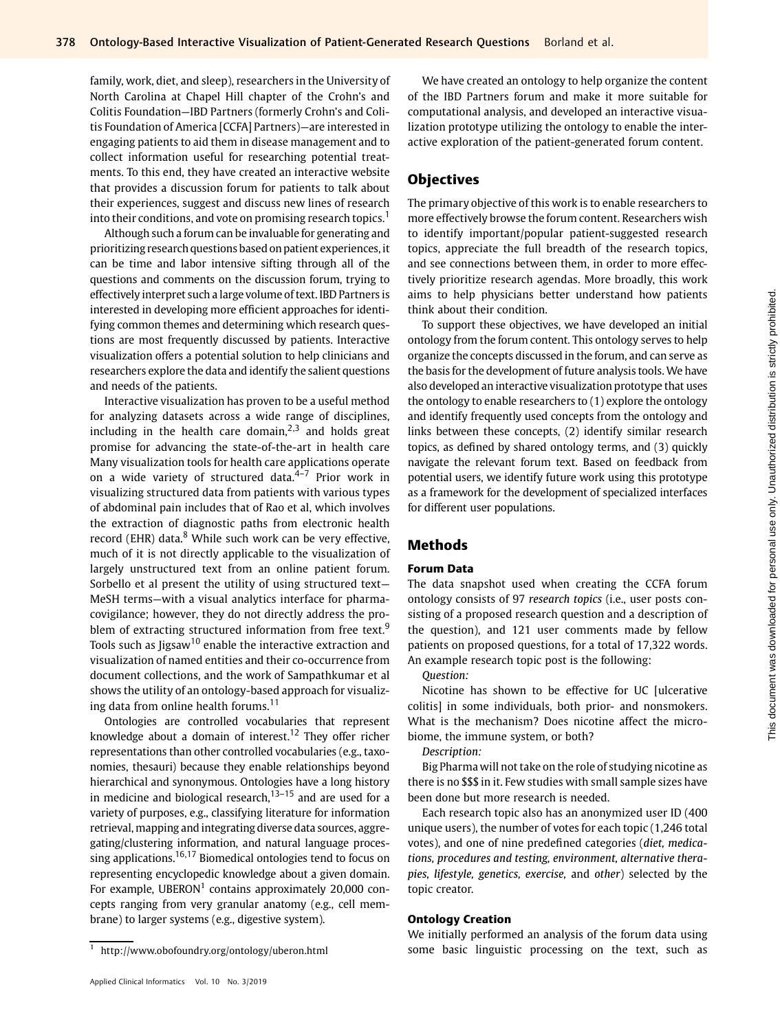family, work, diet, and sleep), researchers in the University of North Carolina at Chapel Hill chapter of the Crohn's and Colitis Foundation—IBD Partners (formerly Crohn's and Colitis Foundation of America [CCFA] Partners)—are interested in engaging patients to aid them in disease management and to collect information useful for researching potential treatments. To this end, they have created an interactive website that provides a discussion forum for patients to talk about their experiences, suggest and discuss new lines of research into their conditions, and vote on promising research topics.<sup>1</sup>

Although such a forum can be invaluable for generating and prioritizing research questions based on patient experiences,it can be time and labor intensive sifting through all of the questions and comments on the discussion forum, trying to effectively interpret such a large volume of text. IBD Partners is interested in developing more efficient approaches for identifying common themes and determining which research questions are most frequently discussed by patients. Interactive visualization offers a potential solution to help clinicians and researchers explore the data and identify the salient questions and needs of the patients.

Interactive visualization has proven to be a useful method for analyzing datasets across a wide range of disciplines, including in the health care domain, $2,3$  and holds great promise for advancing the state-of-the-art in health care Many visualization tools for health care applications operate on a wide variety of structured data. $4-7$  Prior work in visualizing structured data from patients with various types of abdominal pain includes that of Rao et al, which involves the extraction of diagnostic paths from electronic health record (EHR) data. $8$  While such work can be very effective, much of it is not directly applicable to the visualization of largely unstructured text from an online patient forum. Sorbello et al present the utility of using structured text— MeSH terms—with a visual analytics interface for pharmacovigilance; however, they do not directly address the problem of extracting structured information from free text.<sup>9</sup> Tools such as Jigsaw<sup>10</sup> enable the interactive extraction and visualization of named entities and their co-occurrence from document collections, and the work of Sampathkumar et al shows the utility of an ontology-based approach for visualizing data from online health forums.<sup>11</sup>

Ontologies are controlled vocabularies that represent knowledge about a domain of interest.<sup>12</sup> They offer richer representations than other controlled vocabularies (e.g., taxonomies, thesauri) because they enable relationships beyond hierarchical and synonymous. Ontologies have a long history in medicine and biological research, $13-15$  and are used for a variety of purposes, e.g., classifying literature for information retrieval, mapping and integrating diverse data sources, aggregating/clustering information, and natural language processing applications.<sup>16,17</sup> Biomedical ontologies tend to focus on representing encyclopedic knowledge about a given domain. For example,  $UBERON<sup>1</sup>$  contains approximately 20,000 concepts ranging from very granular anatomy (e.g., cell membrane) to larger systems (e.g., digestive system).

We have created an ontology to help organize the content of the IBD Partners forum and make it more suitable for computational analysis, and developed an interactive visualization prototype utilizing the ontology to enable the interactive exploration of the patient-generated forum content.

# **Objectives**

The primary objective of this work is to enable researchers to more effectively browse the forum content. Researchers wish to identify important/popular patient-suggested research topics, appreciate the full breadth of the research topics, and see connections between them, in order to more effectively prioritize research agendas. More broadly, this work aims to help physicians better understand how patients think about their condition.

To support these objectives, we have developed an initial ontology from the forum content. This ontology serves to help organize the concepts discussed in the forum, and can serve as the basis for the development of future analysis tools. We have also developed an interactive visualization prototype that uses the ontology to enable researchers to (1) explore the ontology and identify frequently used concepts from the ontology and links between these concepts, (2) identify similar research topics, as defined by shared ontology terms, and (3) quickly navigate the relevant forum text. Based on feedback from potential users, we identify future work using this prototype as a framework for the development of specialized interfaces for different user populations.

# Methods

#### Forum Data

The data snapshot used when creating the CCFA forum ontology consists of 97 research topics (i.e., user posts consisting of a proposed research question and a description of the question), and 121 user comments made by fellow patients on proposed questions, for a total of 17,322 words. An example research topic post is the following:

Question:

Nicotine has shown to be effective for UC [ulcerative colitis] in some individuals, both prior- and nonsmokers. What is the mechanism? Does nicotine affect the microbiome, the immune system, or both?

Description:

Big Pharma will not take on the role of studying nicotine as there is no \$\$\$ in it. Few studies with small sample sizes have been done but more research is needed.

Each research topic also has an anonymized user ID (400 unique users), the number of votes for each topic (1,246 total votes), and one of nine predefined categories (diet, medications, procedures and testing, environment, alternative therapies, lifestyle, genetics, exercise, and other) selected by the topic creator.

#### Ontology Creation

We initially performed an analysis of the forum data using  $1$  <http://www.obofoundry.org/ontology/uberon.html> some basic linguistic processing on the text, such as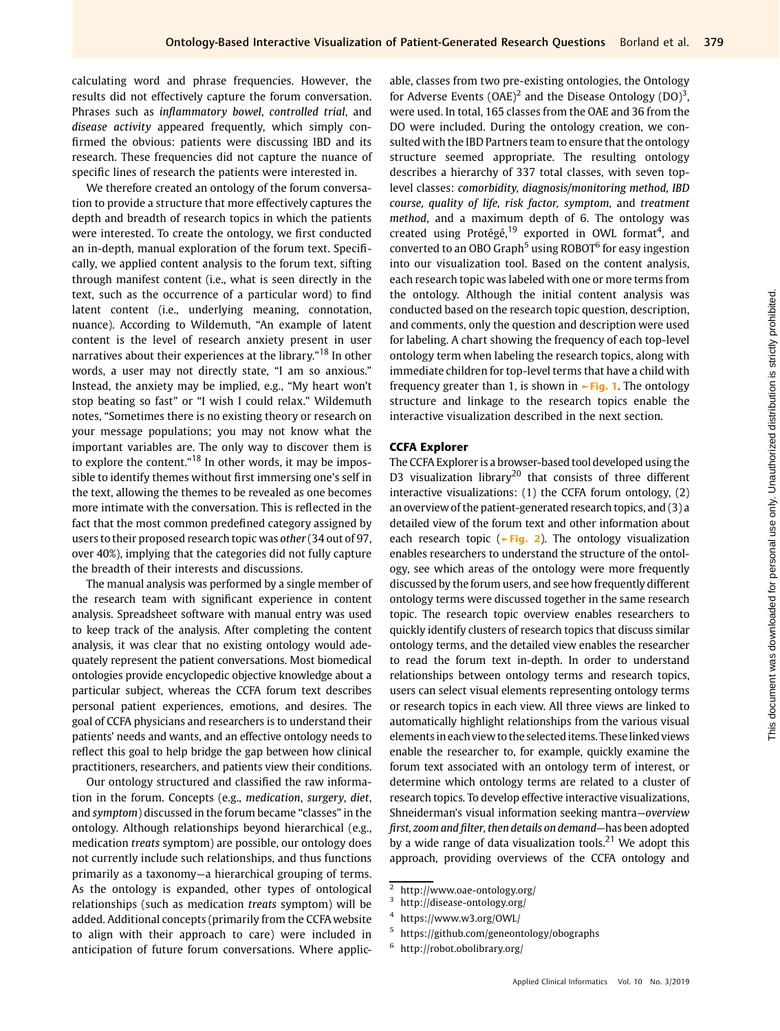calculating word and phrase frequencies. However, the results did not effectively capture the forum conversation. Phrases such as inflammatory bowel, controlled trial, and disease activity appeared frequently, which simply confirmed the obvious: patients were discussing IBD and its research. These frequencies did not capture the nuance of specific lines of research the patients were interested in.

We therefore created an ontology of the forum conversation to provide a structure that more effectively captures the depth and breadth of research topics in which the patients were interested. To create the ontology, we first conducted an in-depth, manual exploration of the forum text. Specifically, we applied content analysis to the forum text, sifting through manifest content (i.e., what is seen directly in the text, such as the occurrence of a particular word) to find latent content (i.e., underlying meaning, connotation, nuance). According to Wildemuth, "An example of latent content is the level of research anxiety present in user narratives about their experiences at the library."<sup>18</sup> In other words, a user may not directly state, "I am so anxious." Instead, the anxiety may be implied, e.g., "My heart won't stop beating so fast" or "I wish I could relax." Wildemuth notes, "Sometimes there is no existing theory or research on your message populations; you may not know what the important variables are. The only way to discover them is to explore the content."<sup>18</sup> In other words, it may be impossible to identify themes without first immersing one's self in the text, allowing the themes to be revealed as one becomes more intimate with the conversation. This is reflected in the fact that the most common predefined category assigned by users to their proposed research topic was other (34 out of 97, over 40%), implying that the categories did not fully capture the breadth of their interests and discussions.

The manual analysis was performed by a single member of the research team with significant experience in content analysis. Spreadsheet software with manual entry was used to keep track of the analysis. After completing the content analysis, it was clear that no existing ontology would adequately represent the patient conversations. Most biomedical ontologies provide encyclopedic objective knowledge about a particular subject, whereas the CCFA forum text describes personal patient experiences, emotions, and desires. The goal of CCFA physicians and researchers is to understand their patients' needs and wants, and an effective ontology needs to reflect this goal to help bridge the gap between how clinical practitioners, researchers, and patients view their conditions.

Our ontology structured and classified the raw information in the forum. Concepts (e.g., medication, surgery, diet, and symptom) discussed in the forum became "classes" in the ontology. Although relationships beyond hierarchical (e.g., medication treats symptom) are possible, our ontology does not currently include such relationships, and thus functions primarily as a taxonomy—a hierarchical grouping of terms. As the ontology is expanded, other types of ontological relationships (such as medication treats symptom) will be added. Additional concepts (primarily from the CCFA website to align with their approach to care) were included in anticipation of future forum conversations. Where applicable, classes from two pre-existing ontologies, the Ontology for Adverse Events  $(OAE)^2$  and the Disease Ontology  $(DO)^3$ , were used. In total, 165 classes from the OAE and 36 from the DO were included. During the ontology creation, we consulted with the IBD Partners team to ensure that the ontology structure seemed appropriate. The resulting ontology describes a hierarchy of 337 total classes, with seven toplevel classes: comorbidity, diagnosis/monitoring method, IBD course, quality of life, risk factor, symptom, and treatment method, and a maximum depth of 6. The ontology was created using Protégé,<sup>19</sup> exported in OWL format<sup>4</sup>, and converted to an OBO Graph<sup>5</sup> using ROBOT<sup>6</sup> for easy ingestion into our visualization tool. Based on the content analysis, each research topic was labeled with one or more terms from the ontology. Although the initial content analysis was conducted based on the research topic question, description, and comments, only the question and description were used for labeling. A chart showing the frequency of each top-level ontology term when labeling the research topics, along with immediate children for top-level terms that have a child with frequency greater than 1, is shown in  $\rightarrow$  Fig. 1. The ontology structure and linkage to the research topics enable the interactive visualization described in the next section.

#### CCFA Explorer

The CCFA Explorer is a browser-based tool developed using the D3 visualization library<sup>20</sup> that consists of three different interactive visualizations: (1) the CCFA forum ontology, (2) an overview of the patient-generated research topics, and (3) a detailed view of the forum text and other information about each research topic ( $\nightharpoonup$ Fig. 2). The ontology visualization enables researchers to understand the structure of the ontology, see which areas of the ontology were more frequently discussed by the forum users, and see how frequently different ontology terms were discussed together in the same research topic. The research topic overview enables researchers to quickly identify clusters of research topics that discuss similar ontology terms, and the detailed view enables the researcher to read the forum text in-depth. In order to understand relationships between ontology terms and research topics, users can select visual elements representing ontology terms or research topics in each view. All three views are linked to automatically highlight relationships from the various visual elements in each view to the selected items. These linked views enable the researcher to, for example, quickly examine the forum text associated with an ontology term of interest, or determine which ontology terms are related to a cluster of research topics. To develop effective interactive visualizations, Shneiderman's visual information seeking mantra—overview first, zoom and filter, then details on demand—has been adopted by a wide range of data visualization tools.<sup>21</sup> We adopt this approach, providing overviews of the CCFA ontology and

- <sup>4</sup> https://www.w3.org/OWL/
- <sup>5</sup> https://github.com/geneontology/obographs
- <sup>6</sup> <http://robot.obolibrary.org/>

<sup>2</sup> <http://www.oae-ontology.org/>

<sup>3</sup> <http://disease-ontology.org/>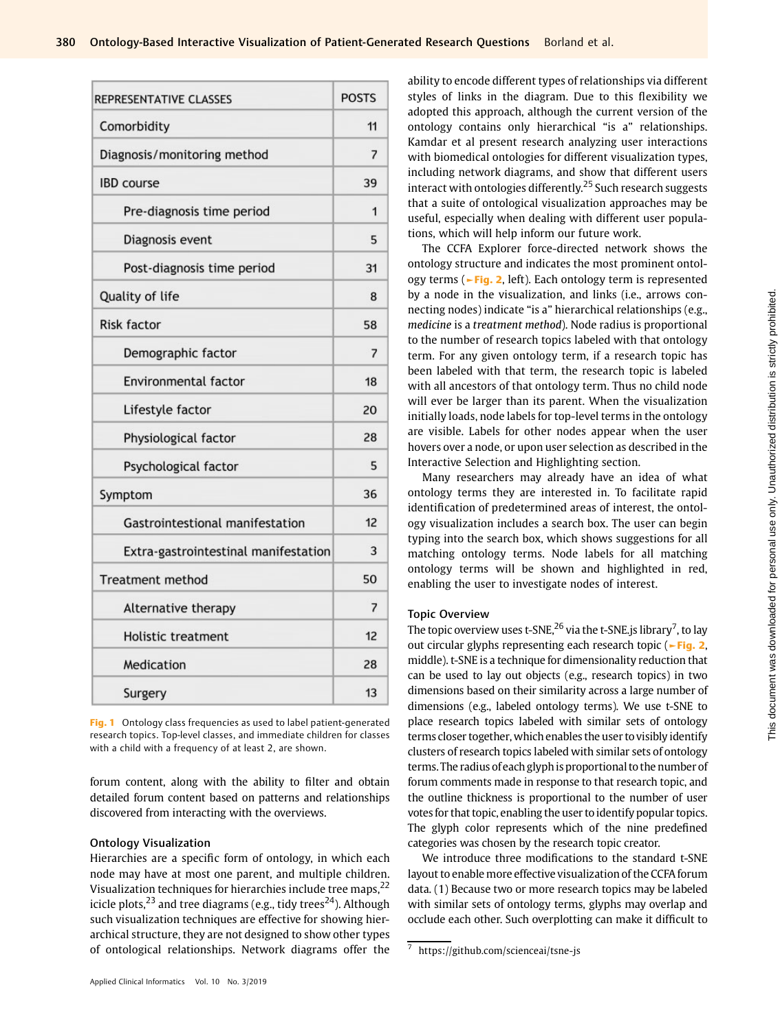| REPRESENTATIVE CLASSES                 | <b>POSTS</b> |
|----------------------------------------|--------------|
| Comorbidity                            | 11           |
| Diagnosis/monitoring method            | 7            |
| <b>IBD</b> course                      | 39           |
| Pre-diagnosis time period              | 1            |
| Diagnosis event                        | 5            |
| Post-diagnosis time period             | 31           |
| Quality of life                        | 8            |
| <b>Risk factor</b>                     | 58           |
| Demographic factor                     | 7            |
| <b>Environmental factor</b>            | 18           |
| Lifestyle factor                       | 20           |
| Physiological factor                   | 28           |
| Psychological factor                   | 5            |
| Symptom                                | 36           |
| <b>Gastrointestional manifestation</b> | 12           |
| Extra-gastrointestinal manifestation   | 3            |
| <b>Treatment method</b>                | 50           |
| Alternative therapy                    | 7            |
| <b>Holistic treatment</b>              | 12           |
| Medication                             | 28           |
| Surgery                                | 13           |

Fig. 1 Ontology class frequencies as used to label patient-generated research topics. Top-level classes, and immediate children for classes with a child with a frequency of at least 2, are shown.

forum content, along with the ability to filter and obtain detailed forum content based on patterns and relationships discovered from interacting with the overviews.

### Ontology Visualization

Hierarchies are a specific form of ontology, in which each node may have at most one parent, and multiple children. Visualization techniques for hierarchies include tree maps,<sup>22</sup> icicle plots,<sup>23</sup> and tree diagrams (e.g., tidy trees<sup>24</sup>). Although such visualization techniques are effective for showing hierarchical structure, they are not designed to show other types of ontological relationships. Network diagrams offer the

ability to encode different types of relationships via different styles of links in the diagram. Due to this flexibility we adopted this approach, although the current version of the ontology contains only hierarchical "is a" relationships. Kamdar et al present research analyzing user interactions with biomedical ontologies for different visualization types, including network diagrams, and show that different users interact with ontologies differently.<sup>25</sup> Such research suggests that a suite of ontological visualization approaches may be useful, especially when dealing with different user populations, which will help inform our future work.

The CCFA Explorer force-directed network shows the ontology structure and indicates the most prominent ontology terms (-Fig. 2, left). Each ontology term is represented by a node in the visualization, and links (i.e., arrows connecting nodes) indicate "is a" hierarchical relationships (e.g., medicine is a treatment method). Node radius is proportional to the number of research topics labeled with that ontology term. For any given ontology term, if a research topic has been labeled with that term, the research topic is labeled with all ancestors of that ontology term. Thus no child node will ever be larger than its parent. When the visualization initially loads, node labels for top-level terms in the ontology are visible. Labels for other nodes appear when the user hovers over a node, or upon user selection as described in the Interactive Selection and Highlighting section.

Many researchers may already have an idea of what ontology terms they are interested in. To facilitate rapid identification of predetermined areas of interest, the ontology visualization includes a search box. The user can begin typing into the search box, which shows suggestions for all matching ontology terms. Node labels for all matching ontology terms will be shown and highlighted in red, enabling the user to investigate nodes of interest.

#### Topic Overview

The topic overview uses t-SNE, $^{26}$  via the t-SNE.js library<sup>7</sup>, to lay out circular glyphs representing each research topic (►Fig. 2, middle). t-SNE is a technique for dimensionality reduction that can be used to lay out objects (e.g., research topics) in two dimensions based on their similarity across a large number of dimensions (e.g., labeled ontology terms). We use t-SNE to place research topics labeled with similar sets of ontology terms closer together, which enables the user to visibly identify clusters of research topics labeled with similar sets of ontology terms. The radius of each glyph is proportional to the number of forum comments made in response to that research topic, and the outline thickness is proportional to the number of user votes for that topic, enabling the user to identify popular topics. The glyph color represents which of the nine predefined categories was chosen by the research topic creator.

We introduce three modifications to the standard t-SNE layout to enable more effective visualization of the CCFA forum data. (1) Because two or more research topics may be labeled with similar sets of ontology terms, glyphs may overlap and occlude each other. Such overplotting can make it difficult to

<sup>7</sup> https://github.com/scienceai/tsne-js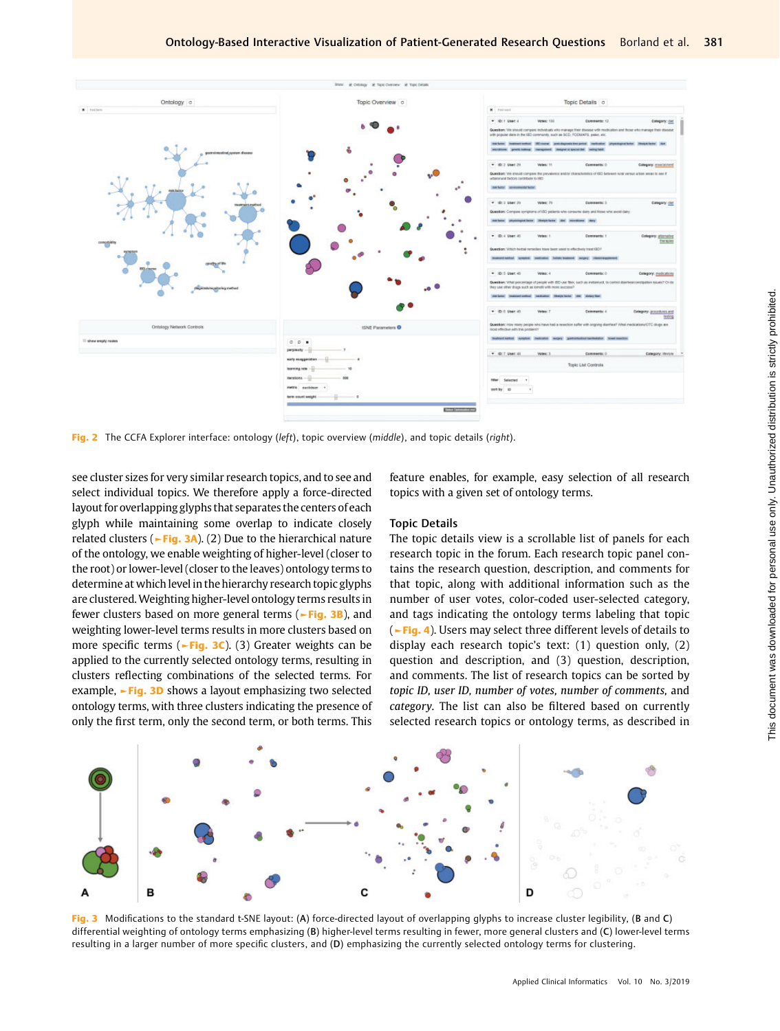

Fig. 2 The CCFA Explorer interface: ontology (left), topic overview (middle), and topic details (right).

see cluster sizes for very similar research topics, and to see and select individual topics. We therefore apply a force-directed layout for overlapping glyphs that separates the centers of each glyph while maintaining some overlap to indicate closely related clusters ( $\blacktriangleright$  Fig. 3A). (2) Due to the hierarchical nature of the ontology, we enable weighting of higher-level (closer to the root) or lower-level (closer to the leaves) ontology terms to determine at which level in the hierarchy research topic glyphs are clustered.Weighting higher-level ontology terms results in fewer clusters based on more general terms (►Fig. 3B), and weighting lower-level terms results in more clusters based on more specific terms (**-Fig. 3C**). (3) Greater weights can be applied to the currently selected ontology terms, resulting in clusters reflecting combinations of the selected terms. For example, ►Fig. 3D shows a layout emphasizing two selected ontology terms, with three clusters indicating the presence of only the first term, only the second term, or both terms. This

feature enables, for example, easy selection of all research topics with a given set of ontology terms.

#### Topic Details

The topic details view is a scrollable list of panels for each research topic in the forum. Each research topic panel contains the research question, description, and comments for that topic, along with additional information such as the number of user votes, color-coded user-selected category, and tags indicating the ontology terms labeling that topic (►Fig. 4). Users may select three different levels of details to display each research topic's text: (1) question only, (2) question and description, and (3) question, description, and comments. The list of research topics can be sorted by topic ID, user ID, number of votes, number of comments, and category. The list can also be filtered based on currently selected research topics or ontology terms, as described in



Fig. 3 Modifications to the standard t-SNE layout: (A) force-directed layout of overlapping glyphs to increase cluster legibility, (B and C) differential weighting of ontology terms emphasizing (B) higher-level terms resulting in fewer, more general clusters and (C) lower-level terms resulting in a larger number of more specific clusters, and (D) emphasizing the currently selected ontology terms for clustering.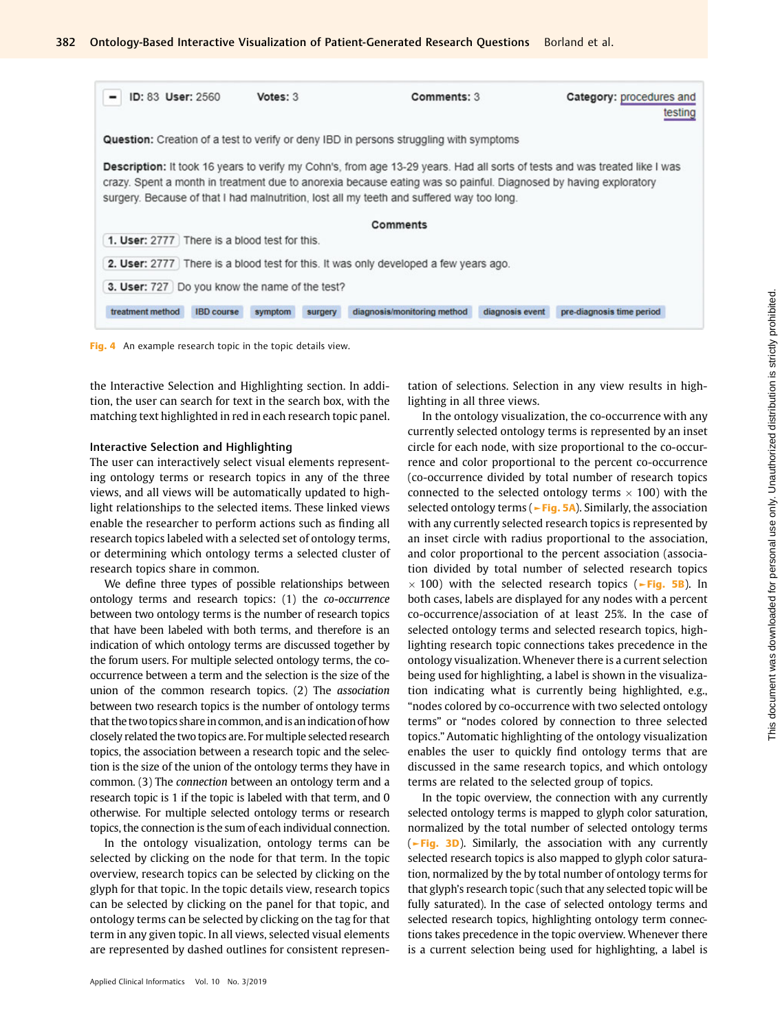| ID: 83 User: 2560                                                                           | Votes: 3                                       | Comments: 3                                                                                                                                                                                                                                                                                                                                        | Category: procedures and<br>testing |  |  |
|---------------------------------------------------------------------------------------------|------------------------------------------------|----------------------------------------------------------------------------------------------------------------------------------------------------------------------------------------------------------------------------------------------------------------------------------------------------------------------------------------------------|-------------------------------------|--|--|
|                                                                                             |                                                | <b>Question:</b> Creation of a test to verify or deny IBD in persons struggling with symptoms                                                                                                                                                                                                                                                      |                                     |  |  |
|                                                                                             |                                                | <b>Description:</b> It took 16 years to verify my Cohn's, from age 13-29 years. Had all sorts of tests and was treated like I was<br>crazy. Spent a month in treatment due to anorexia because eating was so painful. Diagnosed by having exploratory<br>surgery. Because of that I had malnutrition, lost all my teeth and suffered way too long. |                                     |  |  |
|                                                                                             |                                                | <b>Comments</b>                                                                                                                                                                                                                                                                                                                                    |                                     |  |  |
| 1. User: 2777 There is a blood test for this.                                               |                                                |                                                                                                                                                                                                                                                                                                                                                    |                                     |  |  |
| <b>2. User:</b> 2777 There is a blood test for this. It was only developed a few years ago. |                                                |                                                                                                                                                                                                                                                                                                                                                    |                                     |  |  |
|                                                                                             | 3. User: 727 Do you know the name of the test? |                                                                                                                                                                                                                                                                                                                                                    |                                     |  |  |
| treatment method<br><b>IBD</b> course                                                       | symptom<br>surgery                             | diagnosis/monitoring method<br>diagnosis event                                                                                                                                                                                                                                                                                                     | pre-diagnosis time period           |  |  |

Fig. 4 An example research topic in the topic details view.

the Interactive Selection and Highlighting section. In addition, the user can search for text in the search box, with the matching text highlighted in red in each research topic panel.

### Interactive Selection and Highlighting

The user can interactively select visual elements representing ontology terms or research topics in any of the three views, and all views will be automatically updated to highlight relationships to the selected items. These linked views enable the researcher to perform actions such as finding all research topics labeled with a selected set of ontology terms, or determining which ontology terms a selected cluster of research topics share in common.

We define three types of possible relationships between ontology terms and research topics: (1) the co-occurrence between two ontology terms is the number of research topics that have been labeled with both terms, and therefore is an indication of which ontology terms are discussed together by the forum users. For multiple selected ontology terms, the cooccurrence between a term and the selection is the size of the union of the common research topics. (2) The association between two research topics is the number of ontology terms that the two topics share in common, and is an indication of how closely related the two topics are. For multiple selected research topics, the association between a research topic and the selection is the size of the union of the ontology terms they have in common. (3) The connection between an ontology term and a research topic is 1 if the topic is labeled with that term, and 0 otherwise. For multiple selected ontology terms or research topics, the connection is the sum of each individual connection.

In the ontology visualization, ontology terms can be selected by clicking on the node for that term. In the topic overview, research topics can be selected by clicking on the glyph for that topic. In the topic details view, research topics can be selected by clicking on the panel for that topic, and ontology terms can be selected by clicking on the tag for that term in any given topic. In all views, selected visual elements are represented by dashed outlines for consistent representation of selections. Selection in any view results in highlighting in all three views.

In the ontology visualization, the co-occurrence with any currently selected ontology terms is represented by an inset circle for each node, with size proportional to the co-occurrence and color proportional to the percent co-occurrence (co-occurrence divided by total number of research topics connected to the selected ontology terms  $\times$  100) with the selected ontology terms ( $\blacktriangleright$  Fig. 5A). Similarly, the association with any currently selected research topics is represented by an inset circle with radius proportional to the association, and color proportional to the percent association (association divided by total number of selected research topics  $\times$  100) with the selected research topics ( $\blacktriangleright$ Fig. 5B). In both cases, labels are displayed for any nodes with a percent co-occurrence/association of at least 25%. In the case of selected ontology terms and selected research topics, highlighting research topic connections takes precedence in the ontology visualization. Whenever there is a current selection being used for highlighting, a label is shown in the visualization indicating what is currently being highlighted, e.g., "nodes colored by co-occurrence with two selected ontology terms" or "nodes colored by connection to three selected topics." Automatic highlighting of the ontology visualization enables the user to quickly find ontology terms that are discussed in the same research topics, and which ontology terms are related to the selected group of topics.

In the topic overview, the connection with any currently selected ontology terms is mapped to glyph color saturation, normalized by the total number of selected ontology terms (►Fig. 3D). Similarly, the association with any currently selected research topics is also mapped to glyph color saturation, normalized by the by total number of ontology terms for that glyph's research topic (such that any selected topic will be fully saturated). In the case of selected ontology terms and selected research topics, highlighting ontology term connections takes precedence in the topic overview. Whenever there is a current selection being used for highlighting, a label is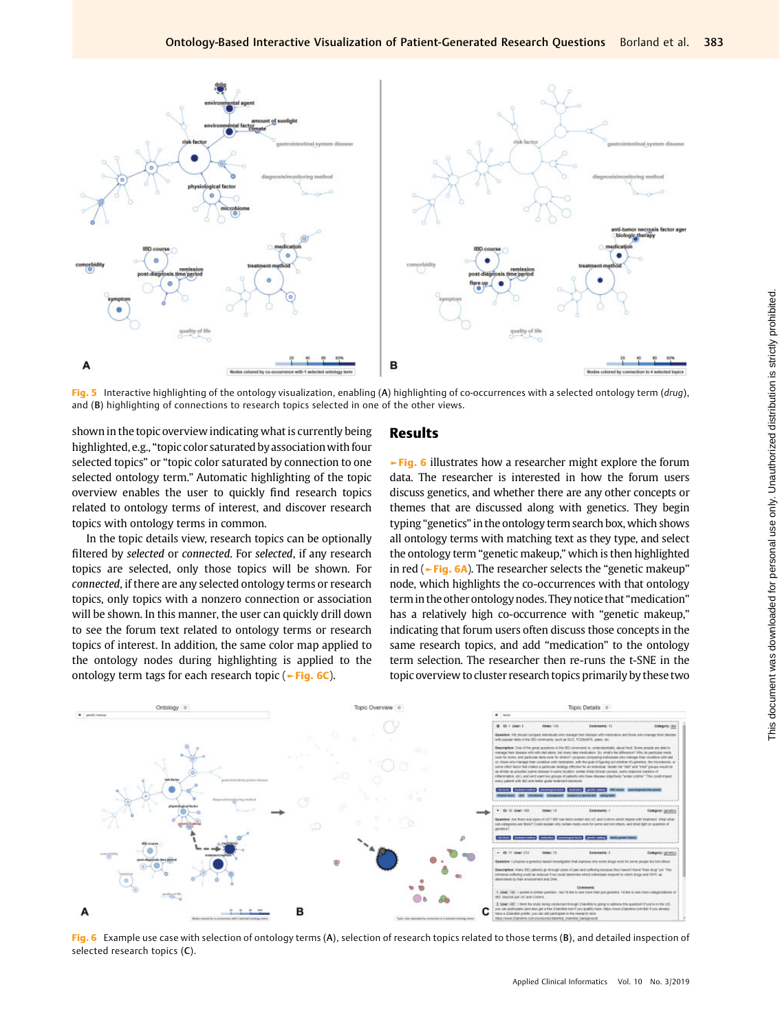

Fig. 5 Interactive highlighting of the ontology visualization, enabling (A) highlighting of co-occurrences with a selected ontology term (drug), and (B) highlighting of connections to research topics selected in one of the other views.

shown in the topic overview indicating what is currently being highlighted, e.g., "topic color saturated by association with four selected topics" or "topic color saturated by connection to one selected ontology term." Automatic highlighting of the topic overview enables the user to quickly find research topics related to ontology terms of interest, and discover research topics with ontology terms in common.

In the topic details view, research topics can be optionally filtered by selected or connected. For selected, if any research topics are selected, only those topics will be shown. For connected, if there are any selected ontology terms or research topics, only topics with a nonzero connection or association will be shown. In this manner, the user can quickly drill down to see the forum text related to ontology terms or research topics of interest. In addition, the same color map applied to the ontology nodes during highlighting is applied to the ontology term tags for each research topic (►Fig. 6C).

## Results

► Fig. 6 illustrates how a researcher might explore the forum data. The researcher is interested in how the forum users discuss genetics, and whether there are any other concepts or themes that are discussed along with genetics. They begin typing "genetics" in the ontology term search box, which shows all ontology terms with matching text as they type, and select the ontology term "genetic makeup," which is then highlighted in red (►Fig. 6A). The researcher selects the "genetic makeup" node, which highlights the co-occurrences with that ontology termin the other ontology nodes. They notice that "medication" has a relatively high co-occurrence with "genetic makeup," indicating that forum users often discuss those concepts in the same research topics, and add "medication" to the ontology term selection. The researcher then re-runs the t-SNE in the topic overview to cluster research topics primarily by these two



Fig. 6 Example use case with selection of ontology terms (A), selection of research topics related to those terms (B), and detailed inspection of selected research topics (C).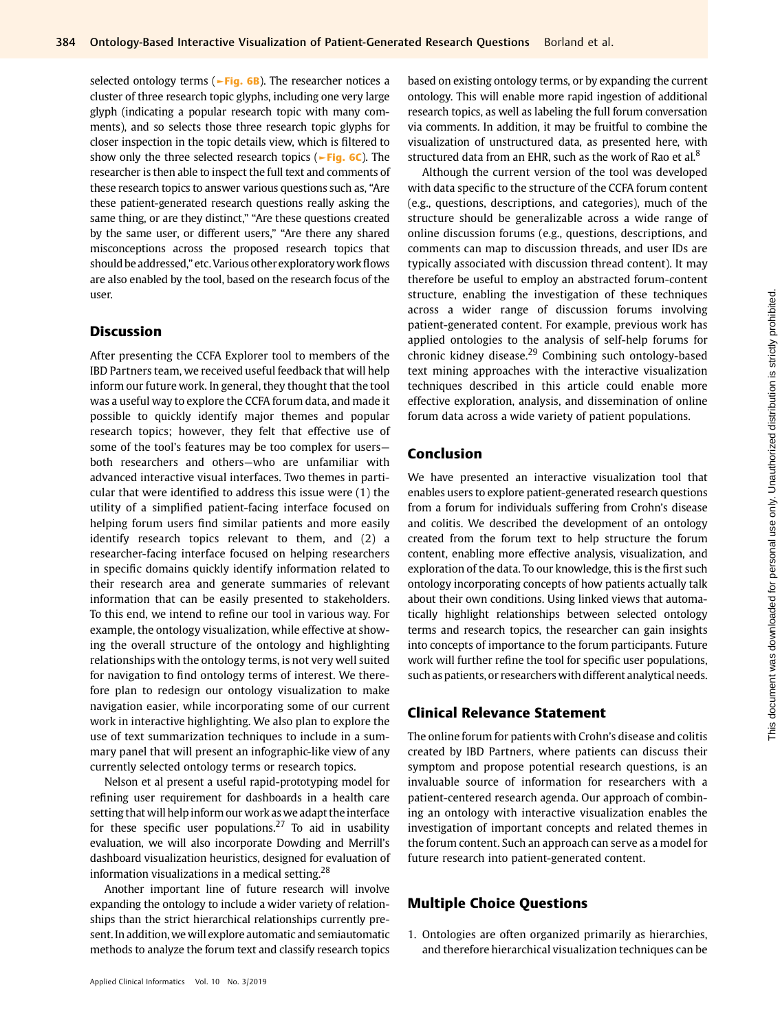selected ontology terms ( $\blacktriangleright$ Fig. 6B). The researcher notices a cluster of three research topic glyphs, including one very large glyph (indicating a popular research topic with many comments), and so selects those three research topic glyphs for closer inspection in the topic details view, which is filtered to show only the three selected research topics (►Fig. 6C). The researcher is then able to inspect the full text and comments of these research topics to answer various questions such as, "Are these patient-generated research questions really asking the same thing, or are they distinct," "Are these questions created by the same user, or different users," "Are there any shared misconceptions across the proposed research topics that should be addressed," etc. Various other exploratory work flows are also enabled by the tool, based on the research focus of the user.

# **Discussion**

After presenting the CCFA Explorer tool to members of the IBD Partners team, we received useful feedback that will help inform our future work. In general, they thought that the tool was a useful way to explore the CCFA forum data, and made it possible to quickly identify major themes and popular research topics; however, they felt that effective use of some of the tool's features may be too complex for users both researchers and others—who are unfamiliar with advanced interactive visual interfaces. Two themes in particular that were identified to address this issue were (1) the utility of a simplified patient-facing interface focused on helping forum users find similar patients and more easily identify research topics relevant to them, and (2) a researcher-facing interface focused on helping researchers in specific domains quickly identify information related to their research area and generate summaries of relevant information that can be easily presented to stakeholders. To this end, we intend to refine our tool in various way. For example, the ontology visualization, while effective at showing the overall structure of the ontology and highlighting relationships with the ontology terms, is not very well suited for navigation to find ontology terms of interest. We therefore plan to redesign our ontology visualization to make navigation easier, while incorporating some of our current work in interactive highlighting. We also plan to explore the use of text summarization techniques to include in a summary panel that will present an infographic-like view of any currently selected ontology terms or research topics.

Nelson et al present a useful rapid-prototyping model for refining user requirement for dashboards in a health care setting that will help inform our work as we adapt the interface for these specific user populations.<sup>27</sup> To aid in usability evaluation, we will also incorporate Dowding and Merrill's dashboard visualization heuristics, designed for evaluation of information visualizations in a medical setting.<sup>28</sup>

Another important line of future research will involve expanding the ontology to include a wider variety of relationships than the strict hierarchical relationships currently present. In addition, we will explore automatic and semiautomatic methods to analyze the forum text and classify research topics

Applied Clinical Informatics Vol. 10 No. 3/2019

based on existing ontology terms, or by expanding the current ontology. This will enable more rapid ingestion of additional research topics, as well as labeling the full forum conversation via comments. In addition, it may be fruitful to combine the visualization of unstructured data, as presented here, with structured data from an EHR, such as the work of Rao et al.<sup>8</sup>

Although the current version of the tool was developed with data specific to the structure of the CCFA forum content (e.g., questions, descriptions, and categories), much of the structure should be generalizable across a wide range of online discussion forums (e.g., questions, descriptions, and comments can map to discussion threads, and user IDs are typically associated with discussion thread content). It may therefore be useful to employ an abstracted forum-content structure, enabling the investigation of these techniques across a wider range of discussion forums involving patient-generated content. For example, previous work has applied ontologies to the analysis of self-help forums for chronic kidney disease.<sup>29</sup> Combining such ontology-based text mining approaches with the interactive visualization techniques described in this article could enable more effective exploration, analysis, and dissemination of online forum data across a wide variety of patient populations.

# Conclusion

We have presented an interactive visualization tool that enables users to explore patient-generated research questions from a forum for individuals suffering from Crohn's disease and colitis. We described the development of an ontology created from the forum text to help structure the forum content, enabling more effective analysis, visualization, and exploration of the data. To our knowledge, this is the first such ontology incorporating concepts of how patients actually talk about their own conditions. Using linked views that automatically highlight relationships between selected ontology terms and research topics, the researcher can gain insights into concepts of importance to the forum participants. Future work will further refine the tool for specific user populations, such as patients, or researchers with different analytical needs.

# Clinical Relevance Statement

The online forum for patients with Crohn's disease and colitis created by IBD Partners, where patients can discuss their symptom and propose potential research questions, is an invaluable source of information for researchers with a patient-centered research agenda. Our approach of combining an ontology with interactive visualization enables the investigation of important concepts and related themes in the forum content. Such an approach can serve as a model for future research into patient-generated content.

# Multiple Choice Questions

1. Ontologies are often organized primarily as hierarchies, and therefore hierarchical visualization techniques can be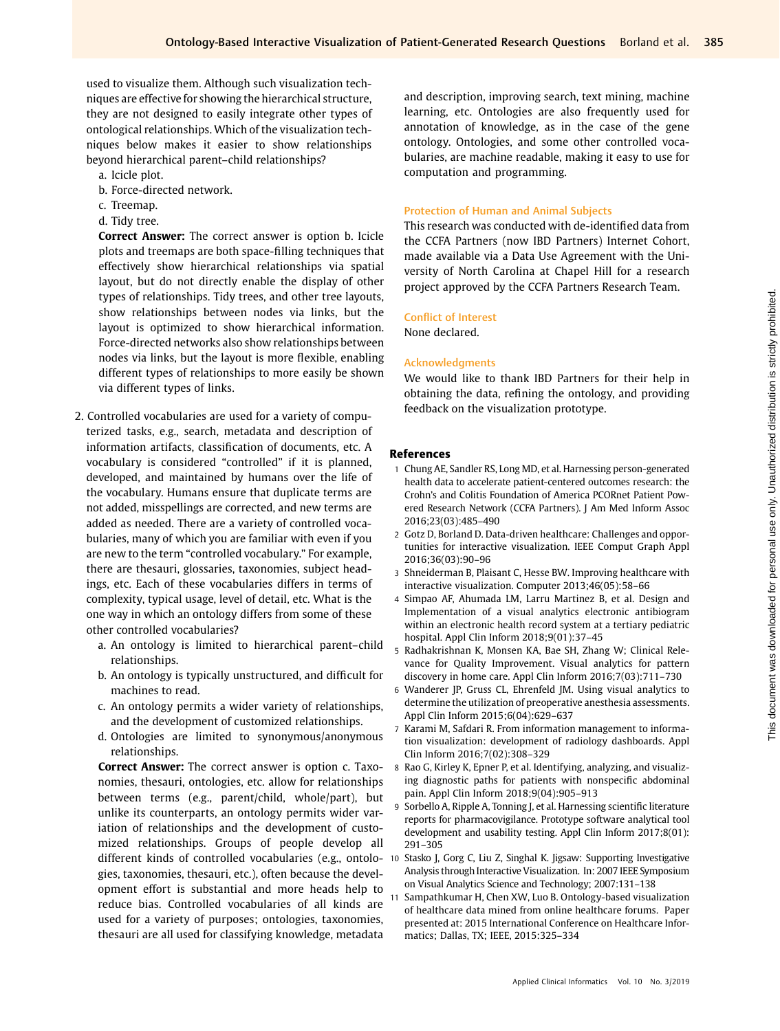used to visualize them. Although such visualization techniques are effective for showing the hierarchical structure, they are not designed to easily integrate other types of ontological relationships. Which of the visualization techniques below makes it easier to show relationships beyond hierarchical parent–child relationships?

a. Icicle plot.

- b. Force-directed network.
- c. Treemap.
- d. Tidy tree.

Correct Answer: The correct answer is option b. Icicle plots and treemaps are both space-filling techniques that effectively show hierarchical relationships via spatial layout, but do not directly enable the display of other types of relationships. Tidy trees, and other tree layouts, show relationships between nodes via links, but the layout is optimized to show hierarchical information. Force-directed networks also show relationships between nodes via links, but the layout is more flexible, enabling different types of relationships to more easily be shown via different types of links.

- 2. Controlled vocabularies are used for a variety of computerized tasks, e.g., search, metadata and description of information artifacts, classification of documents, etc. A vocabulary is considered "controlled" if it is planned, developed, and maintained by humans over the life of the vocabulary. Humans ensure that duplicate terms are not added, misspellings are corrected, and new terms are added as needed. There are a variety of controlled vocabularies, many of which you are familiar with even if you are new to the term "controlled vocabulary." For example, there are thesauri, glossaries, taxonomies, subject headings, etc. Each of these vocabularies differs in terms of complexity, typical usage, level of detail, etc. What is the one way in which an ontology differs from some of these other controlled vocabularies?
	- a. An ontology is limited to hierarchical parent–child relationships.
	- b. An ontology is typically unstructured, and difficult for machines to read.
	- c. An ontology permits a wider variety of relationships, and the development of customized relationships.
	- d. Ontologies are limited to synonymous/anonymous relationships.

Correct Answer: The correct answer is option c. Taxonomies, thesauri, ontologies, etc. allow for relationships between terms (e.g., parent/child, whole/part), but unlike its counterparts, an ontology permits wider variation of relationships and the development of customized relationships. Groups of people develop all gies, taxonomies, thesauri, etc.), often because the development effort is substantial and more heads help to reduce bias. Controlled vocabularies of all kinds are used for a variety of purposes; ontologies, taxonomies, thesauri are all used for classifying knowledge, metadata

and description, improving search, text mining, machine learning, etc. Ontologies are also frequently used for annotation of knowledge, as in the case of the gene ontology. Ontologies, and some other controlled vocabularies, are machine readable, making it easy to use for computation and programming.

## Protection of Human and Animal Subjects

This research was conducted with de-identified data from the CCFA Partners (now IBD Partners) Internet Cohort, made available via a Data Use Agreement with the University of North Carolina at Chapel Hill for a research project approved by the CCFA Partners Research Team.

### Conflict of Interest

None declared.

#### Acknowledgments

We would like to thank IBD Partners for their help in obtaining the data, refining the ontology, and providing feedback on the visualization prototype.

#### References

- 1 Chung AE, Sandler RS, Long MD, et al. Harnessing person-generated health data to accelerate patient-centered outcomes research: the Crohn's and Colitis Foundation of America PCORnet Patient Powered Research Network (CCFA Partners). J Am Med Inform Assoc 2016;23(03):485–490
- 2 Gotz D, Borland D. Data-driven healthcare: Challenges and opportunities for interactive visualization. IEEE Comput Graph Appl 2016;36(03):90–96
- 3 Shneiderman B, Plaisant C, Hesse BW. Improving healthcare with interactive visualization. Computer 2013;46(05):58–66
- 4 Simpao AF, Ahumada LM, Larru Martinez B, et al. Design and Implementation of a visual analytics electronic antibiogram within an electronic health record system at a tertiary pediatric hospital. Appl Clin Inform 2018;9(01):37–45
- 5 Radhakrishnan K, Monsen KA, Bae SH, Zhang W; Clinical Relevance for Quality Improvement. Visual analytics for pattern discovery in home care. Appl Clin Inform 2016;7(03):711–730
- 6 Wanderer JP, Gruss CL, Ehrenfeld JM. Using visual analytics to determine the utilization of preoperative anesthesia assessments. Appl Clin Inform 2015;6(04):629–637
- 7 Karami M, Safdari R. From information management to information visualization: development of radiology dashboards. Appl Clin Inform 2016;7(02):308–329
- 8 Rao G, Kirley K, Epner P, et al. Identifying, analyzing, and visualizing diagnostic paths for patients with nonspecific abdominal pain. Appl Clin Inform 2018;9(04):905–913
- 9 Sorbello A, Ripple A, Tonning J, et al. Harnessing scientific literature reports for pharmacovigilance. Prototype software analytical tool development and usability testing. Appl Clin Inform 2017;8(01): 291–305
- different kinds of controlled vocabularies (e.g., ontolo-10 Stasko J, Gorg C, Liu Z, Singhal K. Jigsaw: Supporting Investigative Analysis through Interactive Visualization. In: 2007 IEEE Symposium on Visual Analytics Science and Technology; 2007:131–138
	- Sampathkumar H, Chen XW, Luo B. Ontology-based visualization of healthcare data mined from online healthcare forums. Paper presented at: 2015 International Conference on Healthcare Informatics; Dallas, TX; IEEE, 2015:325–334